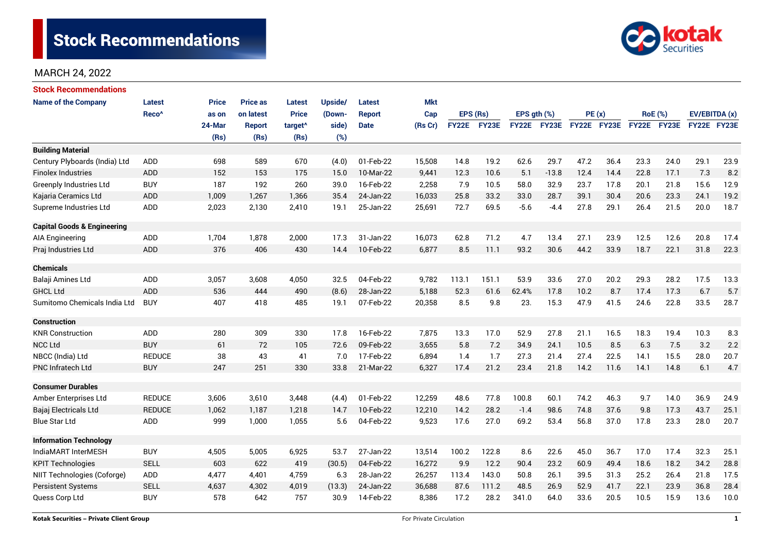

| <b>Stock Recommendations</b>           |                   |              |                 |                     |                |               |            |              |       |               |             |             |      |                |             |               |      |
|----------------------------------------|-------------------|--------------|-----------------|---------------------|----------------|---------------|------------|--------------|-------|---------------|-------------|-------------|------|----------------|-------------|---------------|------|
| <b>Name of the Company</b>             | Latest            | <b>Price</b> | <b>Price as</b> | <b>Latest</b>       | <b>Upside/</b> | Latest        | <b>Mkt</b> |              |       |               |             |             |      |                |             |               |      |
|                                        | Reco <sup>^</sup> | as on        | on latest       | <b>Price</b>        | (Down-         | <b>Report</b> | Cap        | EPS (Rs)     |       | EPS $gth$ $%$ |             | PE(x)       |      | <b>RoE</b> (%) |             | EV/EBITDA (x) |      |
|                                        |                   | 24-Mar       | <b>Report</b>   | target <sup>^</sup> | side)          | <b>Date</b>   | (Rs Cr)    | <b>FY22E</b> | FY23E |               | FY22E FY23E | FY22E FY23E |      |                | FY22E FY23E | FY22E FY23E   |      |
|                                        |                   | (Rs)         | (Rs)            | (Rs)                | (%)            |               |            |              |       |               |             |             |      |                |             |               |      |
| <b>Building Material</b>               |                   |              |                 |                     |                |               |            |              |       |               |             |             |      |                |             |               |      |
| Century Plyboards (India) Ltd          | <b>ADD</b>        | 698          | 589             | 670                 | (4.0)          | 01-Feb-22     | 15,508     | 14.8         | 19.2  | 62.6          | 29.7        | 47.2        | 36.4 | 23.3           | 24.0        | 29.1          | 23.9 |
| <b>Finolex Industries</b>              | ADD               | 152          | 153             | 175                 | 15.0           | 10-Mar-22     | 9,441      | 12.3         | 10.6  | 5.1           | $-13.8$     | 12.4        | 14.4 | 22.8           | 17.1        | 7.3           | 8.2  |
| <b>Greenply Industries Ltd</b>         | <b>BUY</b>        | 187          | 192             | 260                 | 39.0           | 16-Feb-22     | 2,258      | 7.9          | 10.5  | 58.0          | 32.9        | 23.7        | 17.8 | 20.1           | 21.8        | 15.6          | 12.9 |
| Kajaria Ceramics Ltd                   | <b>ADD</b>        | 1,009        | 1,267           | 1,366               | 35.4           | 24-Jan-22     | 16,033     | 25.8         | 33.2  | 33.0          | 28.7        | 39.1        | 30.4 | 20.6           | 23.3        | 24.1          | 19.2 |
| Supreme Industries Ltd                 | <b>ADD</b>        | 2,023        | 2,130           | 2,410               | 19.1           | 25-Jan-22     | 25,691     | 72.7         | 69.5  | $-5.6$        | $-4.4$      | 27.8        | 29.1 | 26.4           | 21.5        | 20.0          | 18.7 |
| <b>Capital Goods &amp; Engineering</b> |                   |              |                 |                     |                |               |            |              |       |               |             |             |      |                |             |               |      |
| AIA Engineering                        | ADD               | 1,704        | 1,878           | 2,000               | 17.3           | 31-Jan-22     | 16,073     | 62.8         | 71.2  | 4.7           | 13.4        | 27.1        | 23.9 | 12.5           | 12.6        | 20.8          | 17.4 |
| Praj Industries Ltd                    | ADD               | 376          | 406             | 430                 | 14.4           | 10-Feb-22     | 6,877      | 8.5          | 11.1  | 93.2          | 30.6        | 44.2        | 33.9 | 18.7           | 22.1        | 31.8          | 22.3 |
| <b>Chemicals</b>                       |                   |              |                 |                     |                |               |            |              |       |               |             |             |      |                |             |               |      |
| Balaji Amines Ltd                      | ADD               | 3,057        | 3,608           | 4,050               | 32.5           | 04-Feb-22     | 9,782      | 113.1        | 151.1 | 53.9          | 33.6        | 27.0        | 20.2 | 29.3           | 28.2        | 17.5          | 13.3 |
| <b>GHCL Ltd</b>                        | <b>ADD</b>        | 536          | 444             | 490                 | (8.6)          | 28-Jan-22     | 5,188      | 52.3         | 61.6  | 62.4%         | 17.8        | 10.2        | 8.7  | 17.4           | 17.3        | 6.7           | 5.7  |
| Sumitomo Chemicals India Ltd           | <b>BUY</b>        | 407          | 418             | 485                 | 19.1           | 07-Feb-22     | 20,358     | 8.5          | 9.8   | 23.           | 15.3        | 47.9        | 41.5 | 24.6           | 22.8        | 33.5          | 28.7 |
| <b>Construction</b>                    |                   |              |                 |                     |                |               |            |              |       |               |             |             |      |                |             |               |      |
| <b>KNR Construction</b>                | ADD               | 280          | 309             | 330                 | 17.8           | 16-Feb-22     | 7,875      | 13.3         | 17.0  | 52.9          | 27.8        | 21.1        | 16.5 | 18.3           | 19.4        | 10.3          | 8.3  |
| <b>NCC Ltd</b>                         | <b>BUY</b>        | 61           | 72              | 105                 | 72.6           | 09-Feb-22     | 3,655      | 5.8          | 7.2   | 34.9          | 24.1        | 10.5        | 8.5  | 6.3            | 7.5         | 3.2           | 2.2  |
| NBCC (India) Ltd                       | <b>REDUCE</b>     | 38           | 43              | 41                  | 7.0            | 17-Feb-22     | 6,894      | 1.4          | 1.7   | 27.3          | 21.4        | 27.4        | 22.5 | 14.1           | 15.5        | 28.0          | 20.7 |
| <b>PNC Infratech Ltd</b>               | <b>BUY</b>        | 247          | 251             | 330                 | 33.8           | 21-Mar-22     | 6,327      | 17.4         | 21.2  | 23.4          | 21.8        | 14.2        | 11.6 | 14.1           | 14.8        | 6.1           | 4.7  |
| <b>Consumer Durables</b>               |                   |              |                 |                     |                |               |            |              |       |               |             |             |      |                |             |               |      |
| Amber Enterprises Ltd                  | <b>REDUCE</b>     | 3,606        | 3,610           | 3,448               | (4.4)          | 01-Feb-22     | 12,259     | 48.6         | 77.8  | 100.8         | 60.1        | 74.2        | 46.3 | 9.7            | 14.0        | 36.9          | 24.9 |
| Bajaj Electricals Ltd                  | <b>REDUCE</b>     | 1,062        | 1,187           | 1,218               | 14.7           | 10-Feb-22     | 12,210     | 14.2         | 28.2  | $-1.4$        | 98.6        | 74.8        | 37.6 | 9.8            | 17.3        | 43.7          | 25.1 |
| <b>Blue Star Ltd</b>                   | <b>ADD</b>        | 999          | 1,000           | 1,055               | 5.6            | 04-Feb-22     | 9,523      | 17.6         | 27.0  | 69.2          | 53.4        | 56.8        | 37.0 | 17.8           | 23.3        | 28.0          | 20.7 |
| <b>Information Technology</b>          |                   |              |                 |                     |                |               |            |              |       |               |             |             |      |                |             |               |      |
| IndiaMART InterMESH                    | <b>BUY</b>        | 4,505        | 5,005           | 6,925               | 53.7           | 27-Jan-22     | 13,514     | 100.2        | 122.8 | 8.6           | 22.6        | 45.0        | 36.7 | 17.0           | 17.4        | 32.3          | 25.1 |
| <b>KPIT Technologies</b>               | <b>SELL</b>       | 603          | 622             | 419                 | (30.5)         | 04-Feb-22     | 16,272     | 9.9          | 12.2  | 90.4          | 23.2        | 60.9        | 49.4 | 18.6           | 18.2        | 34.2          | 28.8 |
| NIIT Technologies (Coforge)            | ADD               | 4,477        | 4,401           | 4,759               | 6.3            | 28-Jan-22     | 26,257     | 113.4        | 143.0 | 50.8          | 26.1        | 39.5        | 31.3 | 25.2           | 26.4        | 21.8          | 17.5 |
| <b>Persistent Systems</b>              | <b>SELL</b>       | 4,637        | 4,302           | 4,019               | (13.3)         | 24-Jan-22     | 36,688     | 87.6         | 111.2 | 48.5          | 26.9        | 52.9        | 41.7 | 22.1           | 23.9        | 36.8          | 28.4 |
| Quess Corp Ltd                         | <b>BUY</b>        | 578          | 642             | 757                 | 30.9           | 14-Feb-22     | 8,386      | 17.2         | 28.2  | 341.0         | 64.0        | 33.6        | 20.5 | 10.5           | 15.9        | 13.6          | 10.0 |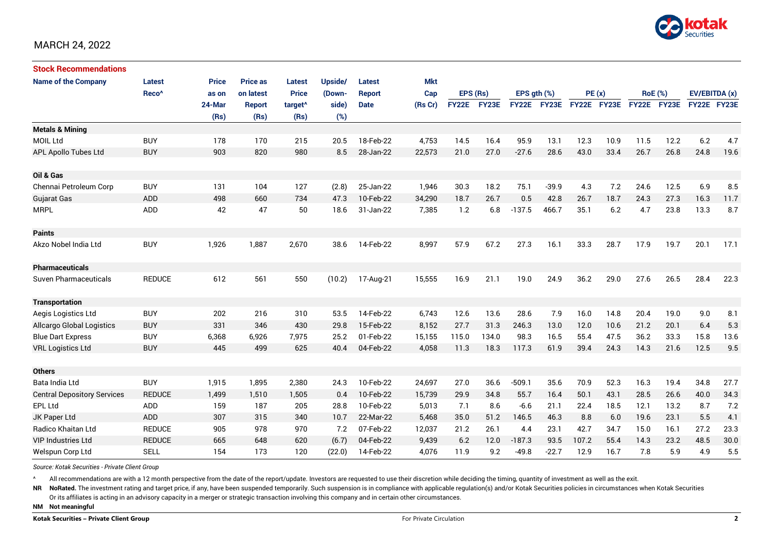

| <b>Stock Recommendations</b>       |                   |              |                 |                     |         |               |            |          |             |                  |             |             |      |                |             |               |      |
|------------------------------------|-------------------|--------------|-----------------|---------------------|---------|---------------|------------|----------|-------------|------------------|-------------|-------------|------|----------------|-------------|---------------|------|
| <b>Name of the Company</b>         | <b>Latest</b>     | <b>Price</b> | <b>Price as</b> | <b>Latest</b>       | Upside/ | Latest        | <b>Mkt</b> |          |             |                  |             |             |      |                |             |               |      |
|                                    | Reco <sup>^</sup> | as on        | on latest       | <b>Price</b>        | (Down-  | <b>Report</b> | Cap        | EPS (Rs) |             | EPS $qth$ $(\%)$ |             | PE(x)       |      | <b>RoE</b> (%) |             | EV/EBITDA (x) |      |
|                                    |                   | 24-Mar       | <b>Report</b>   | target <sup>^</sup> | side)   | <b>Date</b>   | (Rs Cr)    |          | FY22E FY23E |                  | FY22E FY23E | FY22E FY23E |      |                | FY22E FY23E | FY22E FY23E   |      |
|                                    |                   | (Rs)         | (Rs)            | (Rs)                | (%)     |               |            |          |             |                  |             |             |      |                |             |               |      |
| <b>Metals &amp; Mining</b>         |                   |              |                 |                     |         |               |            |          |             |                  |             |             |      |                |             |               |      |
| <b>MOIL Ltd</b>                    | <b>BUY</b>        | 178          | 170             | 215                 | 20.5    | 18-Feb-22     | 4,753      | 14.5     | 16.4        | 95.9             | 13.1        | 12.3        | 10.9 | 11.5           | 12.2        | 6.2           | 4.7  |
| <b>APL Apollo Tubes Ltd</b>        | <b>BUY</b>        | 903          | 820             | 980                 | 8.5     | 28-Jan-22     | 22,573     | 21.0     | 27.0        | $-27.6$          | 28.6        | 43.0        | 33.4 | 26.7           | 26.8        | 24.8          | 19.6 |
|                                    |                   |              |                 |                     |         |               |            |          |             |                  |             |             |      |                |             |               |      |
| Oil & Gas                          |                   |              |                 |                     |         |               |            |          |             |                  |             |             |      |                |             |               |      |
| Chennai Petroleum Corp             | <b>BUY</b>        | 131          | 104             | 127                 | (2.8)   | 25-Jan-22     | 1,946      | 30.3     | 18.2        | 75.1             | $-39.9$     | 4.3         | 7.2  | 24.6           | 12.5        | 6.9           | 8.5  |
| <b>Gujarat Gas</b>                 | ADD               | 498          | 660             | 734                 | 47.3    | 10-Feb-22     | 34,290     | 18.7     | 26.7        | 0.5              | 42.8        | 26.7        | 18.7 | 24.3           | 27.3        | 16.3          | 11.7 |
| <b>MRPL</b>                        | ADD               | 42           | 47              | 50                  | 18.6    | 31-Jan-22     | 7,385      | 1.2      | 6.8         | $-137.5$         | 466.7       | 35.1        | 6.2  | 4.7            | 23.8        | 13.3          | 8.7  |
| <b>Paints</b>                      |                   |              |                 |                     |         |               |            |          |             |                  |             |             |      |                |             |               |      |
| Akzo Nobel India Ltd               | <b>BUY</b>        | 1,926        | 1,887           | 2,670               | 38.6    | 14-Feb-22     | 8,997      | 57.9     | 67.2        | 27.3             | 16.1        | 33.3        | 28.7 | 17.9           | 19.7        | 20.1          | 17.1 |
| <b>Pharmaceuticals</b>             |                   |              |                 |                     |         |               |            |          |             |                  |             |             |      |                |             |               |      |
| <b>Suven Pharmaceuticals</b>       | <b>REDUCE</b>     | 612          | 561             | 550                 | (10.2)  | 17-Aug-21     | 15,555     | 16.9     | 21.1        | 19.0             | 24.9        | 36.2        | 29.0 | 27.6           | 26.5        | 28.4          | 22.3 |
| <b>Transportation</b>              |                   |              |                 |                     |         |               |            |          |             |                  |             |             |      |                |             |               |      |
| Aegis Logistics Ltd                | <b>BUY</b>        | 202          | 216             | 310                 | 53.5    | 14-Feb-22     | 6,743      | 12.6     | 13.6        | 28.6             | 7.9         | 16.0        | 14.8 | 20.4           | 19.0        | 9.0           | 8.1  |
| Allcargo Global Logistics          | <b>BUY</b>        | 331          | 346             | 430                 | 29.8    | 15-Feb-22     | 8,152      | 27.7     | 31.3        | 246.3            | 13.0        | 12.0        | 10.6 | 21.2           | 20.1        | 6.4           | 5.3  |
| <b>Blue Dart Express</b>           | <b>BUY</b>        | 6,368        | 6,926           | 7,975               | 25.2    | 01-Feb-22     | 15,155     | 115.0    | 134.0       | 98.3             | 16.5        | 55.4        | 47.5 | 36.2           | 33.3        | 15.8          | 13.6 |
| <b>VRL Logistics Ltd</b>           | <b>BUY</b>        | 445          | 499             | 625                 | 40.4    | 04-Feb-22     | 4,058      | 11.3     | 18.3        | 117.3            | 61.9        | 39.4        | 24.3 | 14.3           | 21.6        | 12.5          | 9.5  |
|                                    |                   |              |                 |                     |         |               |            |          |             |                  |             |             |      |                |             |               |      |
| <b>Others</b>                      |                   |              |                 |                     |         |               |            |          |             |                  |             |             |      |                |             |               |      |
| Bata India Ltd                     | <b>BUY</b>        | 1,915        | 1,895           | 2,380               | 24.3    | 10-Feb-22     | 24,697     | 27.0     | 36.6        | $-509.1$         | 35.6        | 70.9        | 52.3 | 16.3           | 19.4        | 34.8          | 27.7 |
| <b>Central Depository Services</b> | <b>REDUCE</b>     | 1.499        | 1,510           | 1,505               | 0.4     | 10-Feb-22     | 15,739     | 29.9     | 34.8        | 55.7             | 16.4        | 50.1        | 43.1 | 28.5           | 26.6        | 40.0          | 34.3 |
| <b>EPL Ltd</b>                     | ADD               | 159          | 187             | 205                 | 28.8    | 10-Feb-22     | 5,013      | 7.1      | 8.6         | $-6.6$           | 21.1        | 22.4        | 18.5 | 12.1           | 13.2        | 8.7           | 7.2  |
| JK Paper Ltd                       | ADD               | 307          | 315             | 340                 | 10.7    | 22-Mar-22     | 5,468      | 35.0     | 51.2        | 146.5            | 46.3        | 8.8         | 6.0  | 19.6           | 23.1        | 5.5           | 4.1  |
| Radico Khaitan Ltd                 | <b>REDUCE</b>     | 905          | 978             | 970                 | 7.2     | 07-Feb-22     | 12,037     | 21.2     | 26.1        | 4.4              | 23.1        | 42.7        | 34.7 | 15.0           | 16.1        | 27.2          | 23.3 |
| <b>VIP Industries Ltd</b>          | <b>REDUCE</b>     | 665          | 648             | 620                 | (6.7)   | 04-Feb-22     | 9,439      | 6.2      | 12.0        | $-187.3$         | 93.5        | 107.2       | 55.4 | 14.3           | 23.2        | 48.5          | 30.0 |
| Welspun Corp Ltd                   | <b>SELL</b>       | 154          | 173             | 120                 | (22.0)  | 14-Feb-22     | 4,076      | 11.9     | 9.2         | $-49.8$          | $-22.7$     | 12.9        | 16.7 | 7.8            | 5.9         | 4.9           | 5.5  |

*Source: Kotak Securities - Private Client Group*

All recommendations are with a 12 month perspective from the date of the report/update. Investors are requested to use their discretion while deciding the timing, quantity of investment as well as the exit.

NR NoRated. The investment rating and target price, if any, have been suspended temporarily. Such suspension is in compliance with applicable regulation(s) and/or Kotak Securities policies in circumstances when Kotak Secur

Or its affiliates is acting in an advisory capacity in a merger or strategic transaction involving this company and in certain other circumstances.

**NM Not meaningful**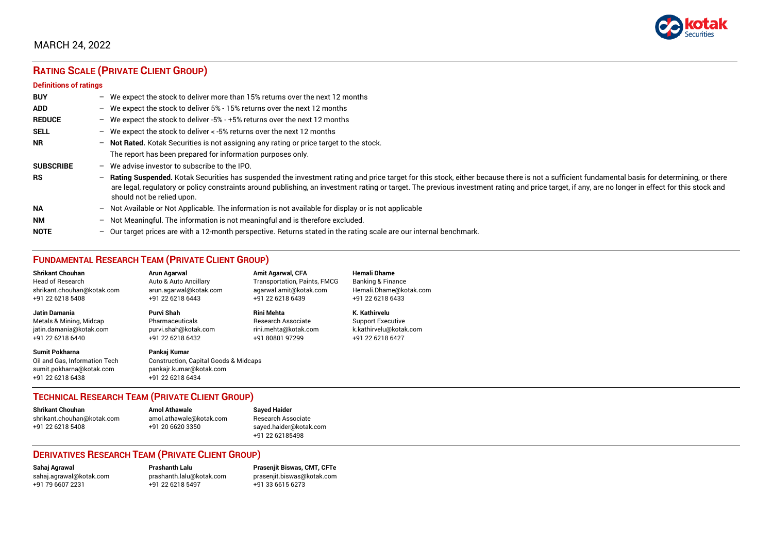

# **RATING SCALE (PRIVATE CLIENT GROUP)**

#### **Definitions of ratings**

| <b>BUY</b>       |                          | - We expect the stock to deliver more than 15% returns over the next 12 months                                                                                                                                                                                                                                                                                                                                                   |
|------------------|--------------------------|----------------------------------------------------------------------------------------------------------------------------------------------------------------------------------------------------------------------------------------------------------------------------------------------------------------------------------------------------------------------------------------------------------------------------------|
| <b>ADD</b>       |                          | - We expect the stock to deliver $5\%$ - 15% returns over the next 12 months                                                                                                                                                                                                                                                                                                                                                     |
| <b>REDUCE</b>    |                          | - We expect the stock to deliver -5% - +5% returns over the next 12 months                                                                                                                                                                                                                                                                                                                                                       |
| <b>SELL</b>      |                          | - We expect the stock to deliver $\lt$ -5% returns over the next 12 months                                                                                                                                                                                                                                                                                                                                                       |
| <b>NR</b>        |                          | - Not Rated. Kotak Securities is not assigning any rating or price target to the stock.                                                                                                                                                                                                                                                                                                                                          |
|                  |                          | The report has been prepared for information purposes only.                                                                                                                                                                                                                                                                                                                                                                      |
| <b>SUBSCRIBE</b> | $\overline{\phantom{0}}$ | We advise investor to subscribe to the IPO.                                                                                                                                                                                                                                                                                                                                                                                      |
| <b>RS</b>        | $\overline{\phantom{0}}$ | Rating Suspended. Kotak Securities has suspended the investment rating and price target for this stock, either because there is not a sufficient fundamental basis for determining, or there<br>are legal, regulatory or policy constraints around publishing, an investment rating or target. The previous investment rating and price target, if any, are no longer in effect for this stock and<br>should not be relied upon. |
| <b>NA</b>        |                          | $-$ Not Available or Not Applicable. The information is not available for display or is not applicable                                                                                                                                                                                                                                                                                                                           |
| <b>NM</b>        | $-$                      | Not Meaningful. The information is not meaningful and is therefore excluded.                                                                                                                                                                                                                                                                                                                                                     |
| <b>NOTE</b>      |                          | - Our target prices are with a 12-month perspective. Returns stated in the rating scale are our internal benchmark.                                                                                                                                                                                                                                                                                                              |

# **FUNDAMENTAL RESEARCH TEAM (PRIVATE CLIENT GROUP)**

| <b>Shrikant Chouhan</b>                                                                                | Arun Agarwal                                                                                                    | <b>Amit Agarwal, CFA</b>            | <b>Hemali Dhame</b>          |
|--------------------------------------------------------------------------------------------------------|-----------------------------------------------------------------------------------------------------------------|-------------------------------------|------------------------------|
| <b>Head of Research</b>                                                                                | Auto & Auto Ancillary                                                                                           | <b>Transportation, Paints, FMCG</b> | <b>Banking &amp; Finance</b> |
| shrikant.chouhan@kotak.com                                                                             | arun agarwal@kotak.com                                                                                          | agarwal.amit@kotak.com              | Hemali.Dhame@kotak.com       |
| +91 22 6218 5408                                                                                       | +91 22 6218 6443                                                                                                | +91 22 6218 6439                    | +91 22 6218 6433             |
| Jatin Damania                                                                                          | Purvi Shah                                                                                                      | <b>Rini Mehta</b>                   | K. Kathirvelu                |
| Metals & Mining, Midcap                                                                                | Pharmaceuticals                                                                                                 | Research Associate                  | <b>Support Executive</b>     |
| jatin.damania@kotak.com                                                                                | purvi.shah@kotak.com                                                                                            | rini.mehta@kotak.com                | k.kathirvelu@kotak.com       |
| +91 22 6218 6440                                                                                       | +91 22 6218 6432                                                                                                | +91 80801 97299                     | +91 22 6218 6427             |
| <b>Sumit Pokharna</b><br>Oil and Gas, Information Tech<br>sumit.pokharna@kotak.com<br>+91 22 6218 6438 | Pankaj Kumar<br><b>Construction, Capital Goods &amp; Midcaps</b><br>pankajr.kumar@kotak.com<br>+91 22 6218 6434 |                                     |                              |

#### **TECHNICAL RESEARCH TEAM (PRIVATE CLIENT GROUP)**

| <b>Shrikant Chouhan</b>    | <b>Amol Athawale</b>    |  |
|----------------------------|-------------------------|--|
| shrikant.chouhan@kotak.com | amol.athawale@kotak.com |  |
| +91 22 6218 5408           | +91 20 6620 3350        |  |
|                            |                         |  |

**Sayed Haider** Research Associate [sayed.haider@kotak.com](mailto:sayed.haider@kotak.com) +91 22 62185498

#### **DERIVATIVES RESEARCH TEAM (PRIVATE CLIENT GROUP)**

+91 22 6218 5497 +91 33 6615 6273

**Sahaj Agrawal Prashanth Lalu Prasenjit Biswas, CMT, CFTe** [sahaj.agrawal@kotak.com](mailto:sahaj.agrawal@kotak.com) [prashanth.lalu@kotak.com](mailto:prashanth.lalu@kotak.com) [prasenjit.biswas@kotak.com](mailto:prasenjit.biswas@kotak.com)